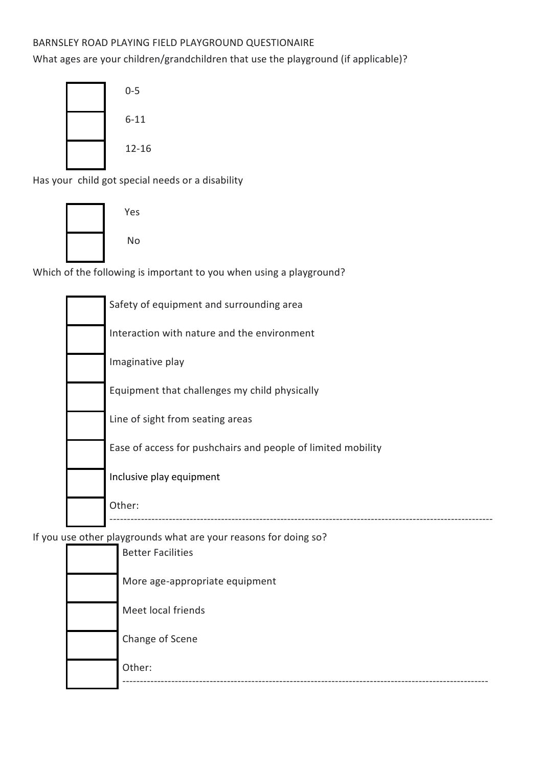## BARNSLEY ROAD PLAYING FIELD PLAYGROUND QUESTIONAIRE

What ages are your children/grandchildren that use the playground (if applicable)?



Has your child got special needs or a disability



No

Which of the following is important to you when using a playground?

| Safety of equipment and surrounding area                     |
|--------------------------------------------------------------|
| Interaction with nature and the environment                  |
| Imaginative play                                             |
| Equipment that challenges my child physically                |
| Line of sight from seating areas                             |
| Ease of access for pushchairs and people of limited mobility |
| Inclusive play equipment                                     |
| Other:                                                       |

If you use other playgrounds what are your reasons for doing so?

| Other:                         |
|--------------------------------|
| Change of Scene                |
| Meet local friends             |
| More age-appropriate equipment |
| <b>Better Facilities</b>       |